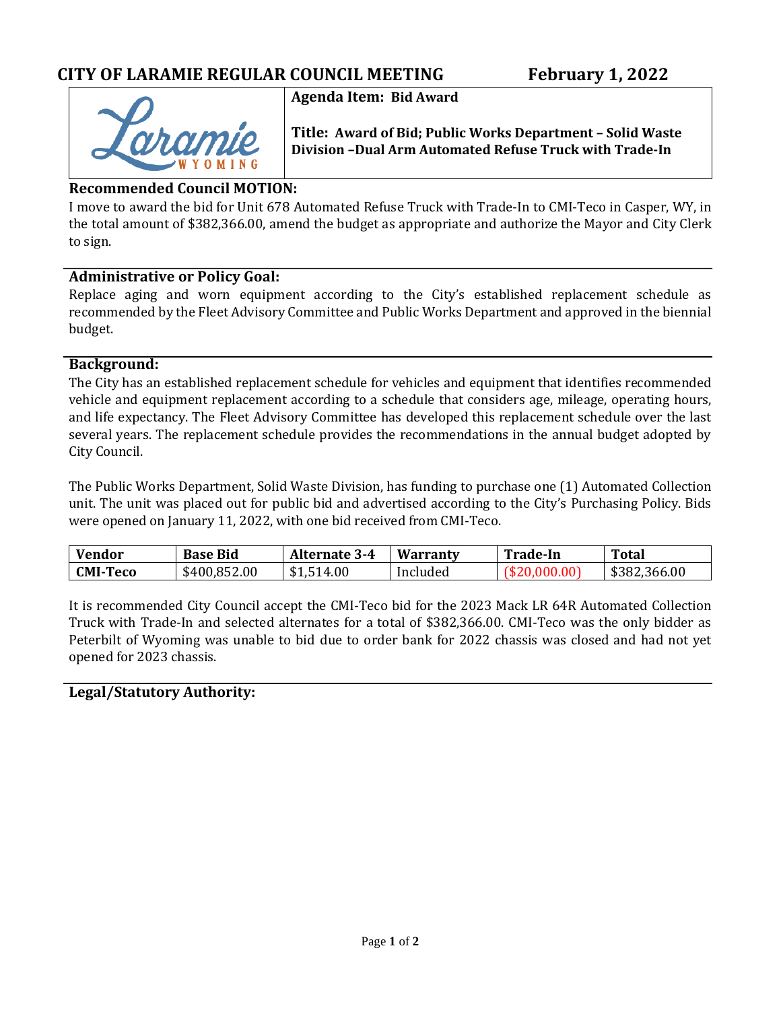

**Agenda Item: Bid Award**

**Title: Award of Bid; Public Works Department – Solid Waste Division –Dual Arm Automated Refuse Truck with Trade-In**

### **Recommended Council MOTION:**

I move to award the bid for Unit 678 Automated Refuse Truck with Trade-In to CMI-Teco in Casper, WY, in the total amount of \$382,366.00, amend the budget as appropriate and authorize the Mayor and City Clerk to sign.

### **Administrative or Policy Goal:**

Replace aging and worn equipment according to the City's established replacement schedule as recommended by the Fleet Advisory Committee and Public Works Department and approved in the biennial budget.

### **Background:**

The City has an established replacement schedule for vehicles and equipment that identifies recommended vehicle and equipment replacement according to a schedule that considers age, mileage, operating hours, and life expectancy. The Fleet Advisory Committee has developed this replacement schedule over the last several years. The replacement schedule provides the recommendations in the annual budget adopted by City Council.

The Public Works Department, Solid Waste Division, has funding to purchase one (1) Automated Collection unit. The unit was placed out for public bid and advertised according to the City's Purchasing Policy. Bids were opened on January 11, 2022, with one bid received from CMI-Teco.

| <b>Vendor</b>   | <b>Base Bid</b> | <b>Alternate 3-4</b> | Warranty | <b>Trade-In</b> | Total        |
|-----------------|-----------------|----------------------|----------|-----------------|--------------|
| <b>CMI-Teco</b> | \$400,852.00    | \$1,514.00           | Included |                 | \$382,366.00 |

It is recommended City Council accept the CMI-Teco bid for the 2023 Mack LR 64R Automated Collection Truck with Trade-In and selected alternates for a total of \$382,366.00. CMI-Teco was the only bidder as Peterbilt of Wyoming was unable to bid due to order bank for 2022 chassis was closed and had not yet opened for 2023 chassis.

### **Legal/Statutory Authority:**